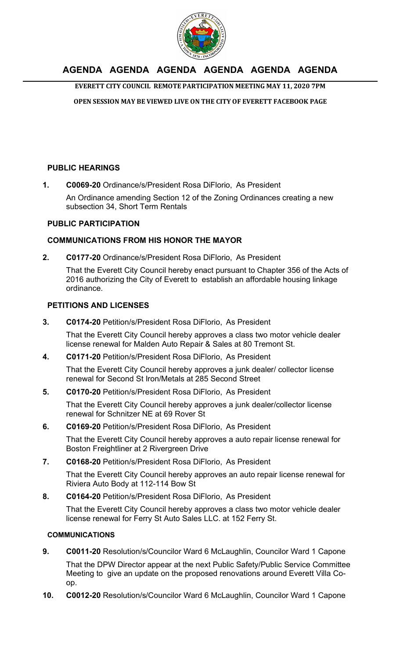

## **AGENDA AGENDA AGENDA AGENDA AGENDA AGENDA**

**EVERETT CITY COUNCIL REMOTE PARTICIPATION MEETING MAY 11, 2020 7PM** 

**OPEN SESSION MAY BE VIEWED LIVE ON THE CITY OF EVERETT FACEBOOK PAGE** 

## **PUBLIC HEARINGS**

**1. C0069-20** Ordinance/s/President Rosa DiFlorio, As President

An Ordinance amending Section 12 of the Zoning Ordinances creating a new subsection 34, Short Term Rentals

## **PUBLIC PARTICIPATION**

## **COMMUNICATIONS FROM HIS HONOR THE MAYOR**

**2. C0177-20** Ordinance/s/President Rosa DiFlorio, As President That the Everett City Council hereby enact pursuant to Chapter 356 of the Acts of 2016 authorizing the City of Everett to establish an affordable housing linkage ordinance.

## **PETITIONS AND LICENSES**

**3. C0174-20** Petition/s/President Rosa DiFlorio, As President

That the Everett City Council hereby approves a class two motor vehicle dealer license renewal for Malden Auto Repair & Sales at 80 Tremont St.

**4. C0171-20** Petition/s/President Rosa DiFlorio, As President

That the Everett City Council hereby approves a junk dealer/ collector license renewal for Second St Iron/Metals at 285 Second Street

**5. C0170-20** Petition/s/President Rosa DiFlorio, As President

That the Everett City Council hereby approves a junk dealer/collector license renewal for Schnitzer NE at 69 Rover St

**6. C0169-20** Petition/s/President Rosa DiFlorio, As President

That the Everett City Council hereby approves a auto repair license renewal for Boston Freightliner at 2 Rivergreen Drive

**7. C0168-20** Petition/s/President Rosa DiFlorio, As President

That the Everett City Council hereby approves an auto repair license renewal for Riviera Auto Body at 112-114 Bow St

**8. C0164-20** Petition/s/President Rosa DiFlorio, As President

That the Everett City Council hereby approves a class two motor vehicle dealer license renewal for Ferry St Auto Sales LLC. at 152 Ferry St.

## **COMMUNICATIONS**

- **9. C0011-20** Resolution/s/Councilor Ward 6 McLaughlin, Councilor Ward 1 Capone That the DPW Director appear at the next Public Safety/Public Service Committee Meeting to give an update on the proposed renovations around Everett Villa Coop.
- **10. C0012-20** Resolution/s/Councilor Ward 6 McLaughlin, Councilor Ward 1 Capone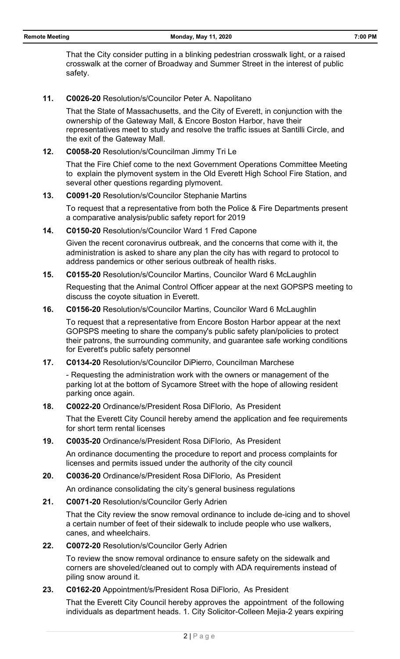That the City consider putting in a blinking pedestrian crosswalk light, or a raised crosswalk at the corner of Broadway and Summer Street in the interest of public safety.

#### **11. C0026-20** Resolution/s/Councilor Peter A. Napolitano

That the State of Massachusetts, and the City of Everett, in conjunction with the ownership of the Gateway Mall, & Encore Boston Harbor, have their representatives meet to study and resolve the traffic issues at Santilli Circle, and the exit of the Gateway Mall.

#### **12. C0058-20** Resolution/s/Councilman Jimmy Tri Le

That the Fire Chief come to the next Government Operations Committee Meeting to explain the plymovent system in the Old Everett High School Fire Station, and several other questions regarding plymovent.

## **13. C0091-20** Resolution/s/Councilor Stephanie Martins

To request that a representative from both the Police & Fire Departments present a comparative analysis/public safety report for 2019

#### **14. C0150-20** Resolution/s/Councilor Ward 1 Fred Capone

Given the recent coronavirus outbreak, and the concerns that come with it, the administration is asked to share any plan the city has with regard to protocol to address pandemics or other serious outbreak of health risks.

#### **15. C0155-20** Resolution/s/Councilor Martins, Councilor Ward 6 McLaughlin

Requesting that the Animal Control Officer appear at the next GOPSPS meeting to discuss the coyote situation in Everett.

## **16. C0156-20** Resolution/s/Councilor Martins, Councilor Ward 6 McLaughlin

To request that a representative from Encore Boston Harbor appear at the next GOPSPS meeting to share the company's public safety plan/policies to protect their patrons, the surrounding community, and guarantee safe working conditions for Everett's public safety personnel

#### **17. C0134-20** Resolution/s/Councilor DiPierro, Councilman Marchese

- Requesting the administration work with the owners or management of the parking lot at the bottom of Sycamore Street with the hope of allowing resident parking once again.

## **18. C0022-20** Ordinance/s/President Rosa DiFlorio, As President

That the Everett City Council hereby amend the application and fee requirements for short term rental licenses

#### **19. C0035-20** Ordinance/s/President Rosa DiFlorio, As President

An ordinance documenting the procedure to report and process complaints for licenses and permits issued under the authority of the city council

#### **20. C0036-20** Ordinance/s/President Rosa DiFlorio, As President

An ordinance consolidating the city's general business regulations

## **21. C0071-20** Resolution/s/Councilor Gerly Adrien

That the City review the snow removal ordinance to include de-icing and to shovel a certain number of feet of their sidewalk to include people who use walkers, canes, and wheelchairs.

## **22. C0072-20** Resolution/s/Councilor Gerly Adrien

To review the snow removal ordinance to ensure safety on the sidewalk and corners are shoveled/cleaned out to comply with ADA requirements instead of piling snow around it.

## **23. C0162-20** Appointment/s/President Rosa DiFlorio, As President

That the Everett City Council hereby approves the appointment of the following individuals as department heads. 1. City Solicitor-Colleen Mejia-2 years expiring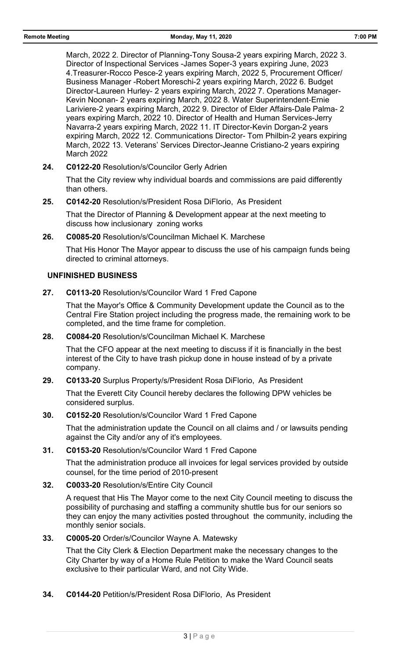March, 2022 2. Director of Planning-Tony Sousa-2 years expiring March, 2022 3. Director of Inspectional Services -James Soper-3 years expiring June, 2023 4.Treasurer-Rocco Pesce-2 years expiring March, 2022 5, Procurement Officer/ Business Manager -Robert Moreschi-2 years expiring March, 2022 6. Budget Director-Laureen Hurley- 2 years expiring March, 2022 7. Operations Manager-Kevin Noonan- 2 years expiring March, 2022 8. Water Superintendent-Ernie Lariviere-2 years expiring March, 2022 9. Director of Elder Affairs-Dale Palma- 2 years expiring March, 2022 10. Director of Health and Human Services-Jerry Navarra-2 years expiring March, 2022 11. IT Director-Kevin Dorgan-2 years expiring March, 2022 12. Communications Director- Tom Philbin-2 years expiring March, 2022 13. Veterans' Services Director-Jeanne Cristiano-2 years expiring March 2022

**24. C0122-20** Resolution/s/Councilor Gerly Adrien

That the City review why individual boards and commissions are paid differently than others.

**25. C0142-20** Resolution/s/President Rosa DiFlorio, As President

That the Director of Planning & Development appear at the next meeting to discuss how inclusionary zoning works

**26. C0085-20** Resolution/s/Councilman Michael K. Marchese

That His Honor The Mayor appear to discuss the use of his campaign funds being directed to criminal attorneys.

## **UNFINISHED BUSINESS**

**27. C0113-20** Resolution/s/Councilor Ward 1 Fred Capone

That the Mayor's Office & Community Development update the Council as to the Central Fire Station project including the progress made, the remaining work to be completed, and the time frame for completion.

**28. C0084-20** Resolution/s/Councilman Michael K. Marchese

That the CFO appear at the next meeting to discuss if it is financially in the best interest of the City to have trash pickup done in house instead of by a private company.

**29. C0133-20** Surplus Property/s/President Rosa DiFlorio, As President

That the Everett City Council hereby declares the following DPW vehicles be considered surplus.

**30. C0152-20** Resolution/s/Councilor Ward 1 Fred Capone

That the administration update the Council on all claims and / or lawsuits pending against the City and/or any of it's employees.

**31. C0153-20** Resolution/s/Councilor Ward 1 Fred Capone

That the administration produce all invoices for legal services provided by outside counsel, for the time period of 2010-present

**32. C0033-20** Resolution/s/Entire City Council

A request that His The Mayor come to the next City Council meeting to discuss the possibility of purchasing and staffing a community shuttle bus for our seniors so they can enjoy the many activities posted throughout the community, including the monthly senior socials.

**33. C0005-20** Order/s/Councilor Wayne A. Matewsky

That the City Clerk & Election Department make the necessary changes to the City Charter by way of a Home Rule Petition to make the Ward Council seats exclusive to their particular Ward, and not City Wide.

**34. C0144-20** Petition/s/President Rosa DiFlorio, As President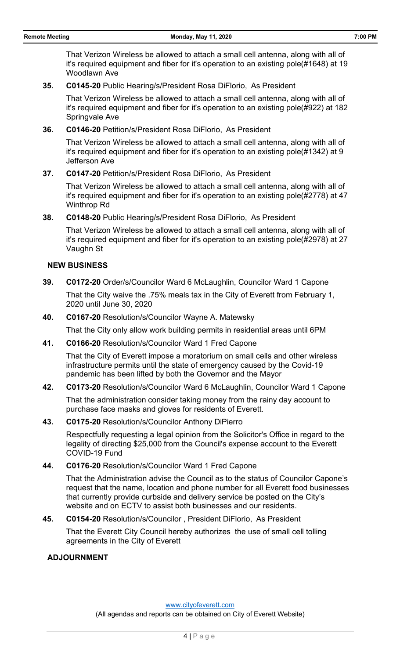That Verizon Wireless be allowed to attach a small cell antenna, along with all of it's required equipment and fiber for it's operation to an existing pole(#1648) at 19 Woodlawn Ave

**35. C0145-20** Public Hearing/s/President Rosa DiFlorio, As President

That Verizon Wireless be allowed to attach a small cell antenna, along with all of it's required equipment and fiber for it's operation to an existing pole(#922) at 182 Springvale Ave

**36. C0146-20** Petition/s/President Rosa DiFlorio, As President

That Verizon Wireless be allowed to attach a small cell antenna, along with all of it's required equipment and fiber for it's operation to an existing pole(#1342) at 9 Jefferson Ave

**37. C0147-20** Petition/s/President Rosa DiFlorio, As President

That Verizon Wireless be allowed to attach a small cell antenna, along with all of it's required equipment and fiber for it's operation to an existing pole(#2778) at 47 Winthrop Rd

**38. C0148-20** Public Hearing/s/President Rosa DiFlorio, As President

That Verizon Wireless be allowed to attach a small cell antenna, along with all of it's required equipment and fiber for it's operation to an existing pole(#2978) at 27 Vaughn St

## **NEW BUSINESS**

- **39. C0172-20** Order/s/Councilor Ward 6 McLaughlin, Councilor Ward 1 Capone That the City waive the .75% meals tax in the City of Everett from February 1, 2020 until June 30, 2020
- **40. C0167-20** Resolution/s/Councilor Wayne A. Matewsky

That the City only allow work building permits in residential areas until 6PM

**41. C0166-20** Resolution/s/Councilor Ward 1 Fred Capone

That the City of Everett impose a moratorium on small cells and other wireless infrastructure permits until the state of emergency caused by the Covid-19 pandemic has been lifted by both the Governor and the Mayor

**42. C0173-20** Resolution/s/Councilor Ward 6 McLaughlin, Councilor Ward 1 Capone

That the administration consider taking money from the rainy day account to purchase face masks and gloves for residents of Everett.

**43. C0175-20** Resolution/s/Councilor Anthony DiPierro

Respectfully requesting a legal opinion from the Solicitor's Office in regard to the legality of directing \$25,000 from the Council's expense account to the Everett COVID-19 Fund

**44. C0176-20** Resolution/s/Councilor Ward 1 Fred Capone

That the Administration advise the Council as to the status of Councilor Capone's request that the name, location and phone number for all Everett food businesses that currently provide curbside and delivery service be posted on the City's website and on ECTV to assist both businesses and our residents.

**45. C0154-20** Resolution/s/Councilor , President DiFlorio, As President

That the Everett City Council hereby authorizes the use of small cell tolling agreements in the City of Everett

#### **ADJOURNMENT**